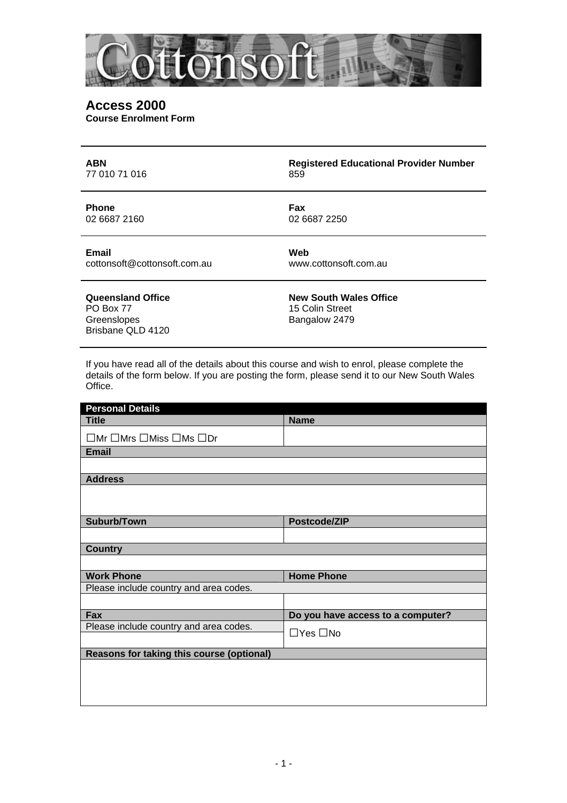

### **Access 2000 Course Enrolment Form**

| <b>ABN</b>                                                         | <b>Registered Educational Provider Number</b>                     |
|--------------------------------------------------------------------|-------------------------------------------------------------------|
| 77 010 71 016                                                      | 859                                                               |
| <b>Phone</b>                                                       | Fax                                                               |
| 02 6687 2160                                                       | 02 6687 2250                                                      |
| <b>Email</b>                                                       | Web                                                               |
| cottonsoft@cottonsoft.com.au                                       | www.cottonsoft.com.au                                             |
| Queensland Office<br>PO Box 77<br>Greenslopes<br>Brisbane QLD 4120 | <b>New South Wales Office</b><br>15 Colin Street<br>Bangalow 2479 |

If you have read all of the details about this course and wish to enrol, please complete the details of the form below. If you are posting the form, please send it to our New South Wales Office.

| <b>Personal Details</b>                              |                                   |  |  |  |
|------------------------------------------------------|-----------------------------------|--|--|--|
| <b>Title</b>                                         | <b>Name</b>                       |  |  |  |
| $\Box$ Mr $\Box$ Mrs $\Box$ Miss $\Box$ Ms $\Box$ Dr |                                   |  |  |  |
| <b>Email</b>                                         |                                   |  |  |  |
|                                                      |                                   |  |  |  |
| <b>Address</b>                                       |                                   |  |  |  |
|                                                      |                                   |  |  |  |
|                                                      |                                   |  |  |  |
| Suburb/Town                                          | Postcode/ZIP                      |  |  |  |
|                                                      |                                   |  |  |  |
| <b>Country</b>                                       |                                   |  |  |  |
|                                                      |                                   |  |  |  |
| <b>Work Phone</b>                                    | <b>Home Phone</b>                 |  |  |  |
| Please include country and area codes.               |                                   |  |  |  |
|                                                      |                                   |  |  |  |
| Fax                                                  | Do you have access to a computer? |  |  |  |
| Please include country and area codes.               |                                   |  |  |  |
|                                                      | $\Box$ Yes $\Box$ No              |  |  |  |
| Reasons for taking this course (optional)            |                                   |  |  |  |
|                                                      |                                   |  |  |  |
|                                                      |                                   |  |  |  |
|                                                      |                                   |  |  |  |
|                                                      |                                   |  |  |  |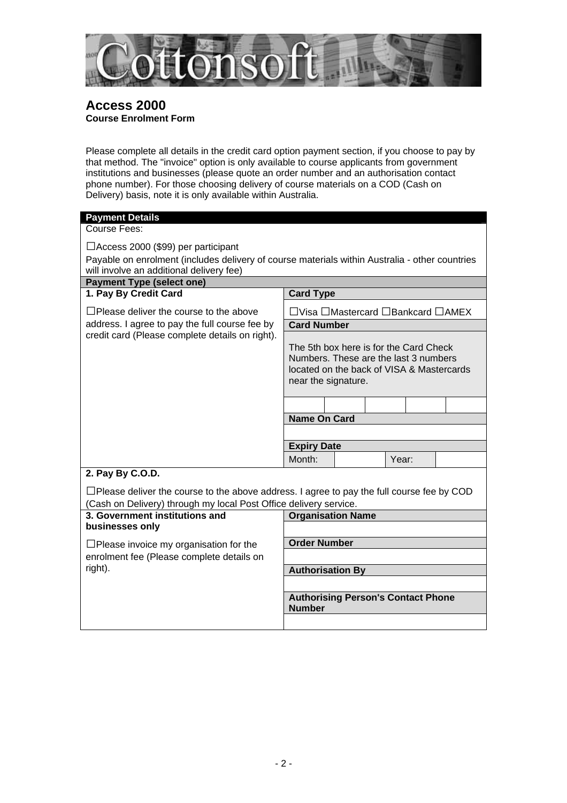

# **Access 2000 Course Enrolment Form**

Please complete all details in the credit card option payment section, if you choose to pay by that method. The "invoice" option is only available to course applicants from government institutions and businesses (please quote an order number and an authorisation contact phone number). For those choosing delivery of course materials on a COD (Cash on Delivery) basis, note it is only available within Australia.

| <b>Payment Details</b>                                                                                                                      |                                           |                                           |       |  |  |  |  |  |
|---------------------------------------------------------------------------------------------------------------------------------------------|-------------------------------------------|-------------------------------------------|-------|--|--|--|--|--|
| Course Fees:                                                                                                                                |                                           |                                           |       |  |  |  |  |  |
|                                                                                                                                             |                                           |                                           |       |  |  |  |  |  |
| $\Box$ Access 2000 (\$99) per participant<br>Payable on enrolment (includes delivery of course materials within Australia - other countries |                                           |                                           |       |  |  |  |  |  |
| will involve an additional delivery fee)                                                                                                    |                                           |                                           |       |  |  |  |  |  |
| <b>Payment Type (select one)</b>                                                                                                            |                                           |                                           |       |  |  |  |  |  |
| 1. Pay By Credit Card                                                                                                                       | <b>Card Type</b>                          |                                           |       |  |  |  |  |  |
|                                                                                                                                             |                                           |                                           |       |  |  |  |  |  |
| $\Box$ Please deliver the course to the above                                                                                               | □Visa □Mastercard □Bankcard □AMEX         |                                           |       |  |  |  |  |  |
| address. I agree to pay the full course fee by                                                                                              | <b>Card Number</b>                        |                                           |       |  |  |  |  |  |
| credit card (Please complete details on right).                                                                                             |                                           |                                           |       |  |  |  |  |  |
|                                                                                                                                             | The 5th box here is for the Card Check    |                                           |       |  |  |  |  |  |
|                                                                                                                                             | Numbers. These are the last 3 numbers     |                                           |       |  |  |  |  |  |
|                                                                                                                                             | located on the back of VISA & Mastercards |                                           |       |  |  |  |  |  |
|                                                                                                                                             | near the signature.                       |                                           |       |  |  |  |  |  |
|                                                                                                                                             |                                           |                                           |       |  |  |  |  |  |
|                                                                                                                                             |                                           |                                           |       |  |  |  |  |  |
|                                                                                                                                             | <b>Name On Card</b>                       |                                           |       |  |  |  |  |  |
|                                                                                                                                             |                                           |                                           |       |  |  |  |  |  |
|                                                                                                                                             | <b>Expiry Date</b>                        |                                           |       |  |  |  |  |  |
|                                                                                                                                             | Month:                                    |                                           | Year: |  |  |  |  |  |
| 2. Pay By C.O.D.                                                                                                                            |                                           |                                           |       |  |  |  |  |  |
|                                                                                                                                             |                                           |                                           |       |  |  |  |  |  |
| $\Box$ Please deliver the course to the above address. I agree to pay the full course fee by COD                                            |                                           |                                           |       |  |  |  |  |  |
| (Cash on Delivery) through my local Post Office delivery service.<br>3. Government institutions and                                         |                                           |                                           |       |  |  |  |  |  |
| businesses only                                                                                                                             | <b>Organisation Name</b>                  |                                           |       |  |  |  |  |  |
|                                                                                                                                             |                                           |                                           |       |  |  |  |  |  |
| $\Box$ Please invoice my organisation for the                                                                                               | <b>Order Number</b>                       |                                           |       |  |  |  |  |  |
| enrolment fee (Please complete details on                                                                                                   |                                           |                                           |       |  |  |  |  |  |
| right).                                                                                                                                     | <b>Authorisation By</b>                   |                                           |       |  |  |  |  |  |
|                                                                                                                                             |                                           |                                           |       |  |  |  |  |  |
|                                                                                                                                             |                                           | <b>Authorising Person's Contact Phone</b> |       |  |  |  |  |  |

**Number**